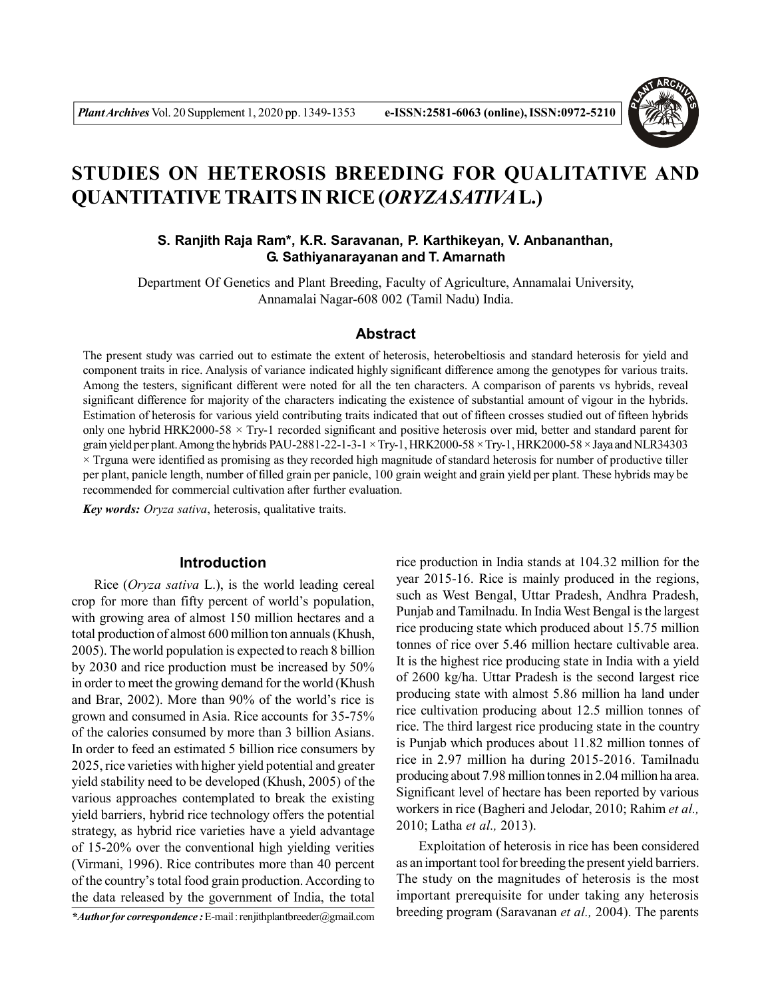

# **STUDIES ON HETEROSIS BREEDING FOR QUALITATIVE AND QUANTITATIVE TRAITS IN RICE (***ORYZA SATIVA***L.)**

## **S. Ranjith Raja Ram\*, K.R. Saravanan, P. Karthikeyan, V. Anbananthan, G. Sathiyanarayanan and T. Amarnath**

Department Of Genetics and Plant Breeding, Faculty of Agriculture, Annamalai University, Annamalai Nagar-608 002 (Tamil Nadu) India.

#### **Abstract**

The present study was carried out to estimate the extent of heterosis, heterobeltiosis and standard heterosis for yield and component traits in rice. Analysis of variance indicated highly significant difference among the genotypes for various traits. Among the testers, significant different were noted for all the ten characters. A comparison of parents vs hybrids, reveal significant difference for majority of the characters indicating the existence of substantial amount of vigour in the hybrids. Estimation of heterosis for various yield contributing traits indicated that out of fifteen crosses studied out of fifteen hybrids only one hybrid HRK2000-58 × Try-1 recorded significant and positive heterosis over mid, better and standard parent for grain yield per plant. Among the hybrids PAU-2881-22-1-3-1  $\times$  Try-1, HRK2000-58  $\times$  Try-1, HRK2000-58  $\times$  Jaya and NLR34303 × Trguna were identified as promising as they recorded high magnitude of standard heterosis for number of productive tiller per plant, panicle length, number of filled grain per panicle, 100 grain weight and grain yield per plant. These hybrids may be recommended for commercial cultivation after further evaluation.

*Key words: Oryza sativa*, heterosis, qualitative traits.

#### **Introduction**

Rice (*Oryza sativa* L.), is the world leading cereal crop for more than fifty percent of world's population, with growing area of almost 150 million hectares and a total production of almost 600 million ton annuals (Khush, 2005). The world population is expected to reach 8 billion by 2030 and rice production must be increased by 50% in order to meet the growing demand for the world (Khush and Brar, 2002). More than 90% of the world's rice is grown and consumed in Asia. Rice accounts for 35-75% of the calories consumed by more than 3 billion Asians. In order to feed an estimated 5 billion rice consumers by 2025, rice varieties with higher yield potential and greater yield stability need to be developed (Khush, 2005) of the various approaches contemplated to break the existing yield barriers, hybrid rice technology offers the potential strategy, as hybrid rice varieties have a yield advantage of 15-20% over the conventional high yielding verities (Virmani, 1996). Rice contributes more than 40 percent of the country's total food grain production. According to the data released by the government of India, the total

*\*Author for correspondence :* E-mail : renjithplantbreeder@gmail.com

rice production in India stands at 104.32 million for the year 2015-16. Rice is mainly produced in the regions, such as West Bengal, Uttar Pradesh, Andhra Pradesh, Punjab and Tamilnadu. In India West Bengal is the largest rice producing state which produced about 15.75 million tonnes of rice over 5.46 million hectare cultivable area. It is the highest rice producing state in India with a yield of 2600 kg/ha. Uttar Pradesh is the second largest rice producing state with almost 5.86 million ha land under rice cultivation producing about 12.5 million tonnes of rice. The third largest rice producing state in the country is Punjab which produces about 11.82 million tonnes of rice in 2.97 million ha during 2015-2016. Tamilnadu producing about 7.98 million tonnes in 2.04 million ha area. Significant level of hectare has been reported by various workers in rice (Bagheri and Jelodar, 2010; Rahim *et al.,* 2010; Latha *et al.,* 2013).

Exploitation of heterosis in rice has been considered as an important tool for breeding the present yield barriers. The study on the magnitudes of heterosis is the most important prerequisite for under taking any heterosis breeding program (Saravanan *et al.,* 2004). The parents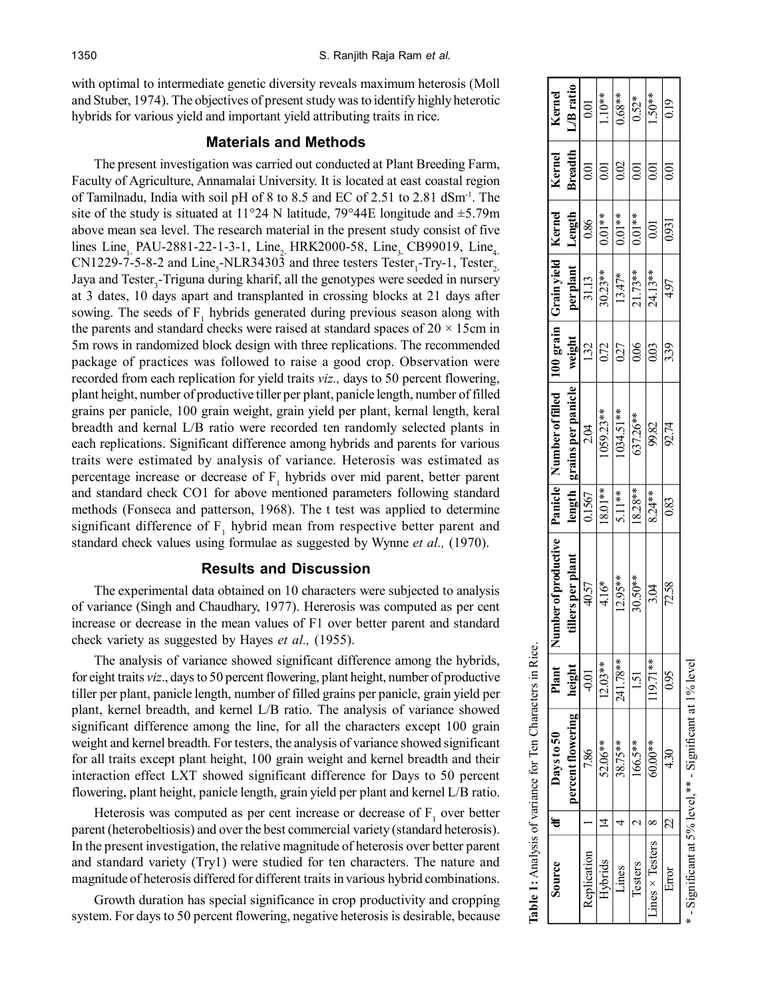with optimal to intermediate genetic diversity reveals maximum heterosis (Moll and Stuber, 1974). The objectives of present study was to identify highly heterotic hybrids for various yield and important yield attributing traits in rice.

# **Materials and Methods**

The present investigation was carried out conducted at Plant Breeding Farm, Faculty of Agriculture, Annamalai University. It is located at east coastal region of Tamilnadu, India with soil pH of 8 to 8.5 and EC of 2.51 to 2.81 dSm-1. The site of the study is situated at 11°24 N latitude, 79°44E longitude and  $\pm$ 5.79m above mean sea level. The research material in the present study consist of five lines Line, PAU-2881-22-1-3-1, Line, HRK2000-58, Line, CB99019, Line,  $CN1229-7-5-8-2$  and  $Line<sub>5</sub>-NLR34303$  and three testers Tester<sub>1</sub>-Try-1, Tester<sub>2-</sub> Jaya and Tester<sub>3</sub>-Triguna during kharif, all the genotypes were seeded in nursery at 3 dates, 10 days apart and transplanted in crossing blocks at 21 days after sowing. The seeds of  $F_1$  hybrids generated during previous season along with the parents and standard checks were raised at standard spaces of  $20 \times 15$ cm in 5m rows in randomized block design with three replications. The recommended package of practices was followed to raise a good crop. Observation were recorded from each replication for yield traits *viz.,* days to 50 percent flowering, plant height, number of productive tiller per plant, panicle length, number of filled grains per panicle, 100 grain weight, grain yield per plant, kernal length, keral breadth and kernal L/B ratio were recorded ten randomly selected plants in each replications. Significant difference among hybrids and parents for various traits were estimated by analysis of variance. Heterosis was estimated as percentage increase or decrease of  $F_1$  hybrids over mid parent, better parent and standard check CO1 for above mentioned parameters following standard methods (Fonseca and patterson, 1968). The t test was applied to determine significant difference of  $F_1$  hybrid mean from respective better parent and standard check values using formulae as suggested by Wynne *et al.,* (1970).

## **Results and Discussion**

The experimental data obtained on 10 characters were subjected to analysis of variance (Singh and Chaudhary, 1977). Hererosis was computed as per cent increase or decrease in the mean values of F1 over better parent and standard check variety as suggested by Hayes *et al.,* (1955).

The analysis of variance showed significant difference among the hybrids, for eight traits *viz*., days to 50 percent flowering, plant height, number of productive tiller per plant, panicle length, number of filled grains per panicle, grain yield per plant, kernel breadth, and kernel L/B ratio. The analysis of variance showed significant difference among the line, for all the characters except 100 grain weight and kernel breadth. For testers, the analysis of variance showed significant for all traits except plant height, 100 grain weight and kernel breadth and their interaction effect LXT showed significant difference for Days to 50 percent flowering, plant height, panicle length, grain yield per plant and kernel L/B ratio.

Heterosis was computed as per cent increase or decrease of  $F_1$  over better parent (heterobeltiosis) and over the best commercial variety (standard heterosis). In the present investigation, the relative magnitude of heterosis over better parent and standard variety (Try1) were studied for ten characters. The nature and magnitude of heterosis differed for different traits in various hybrid combinations.

Growth duration has special significance in crop productivity and cropping system. For days to 50 percent flowering, negative heterosis is desirable, because

|                      |         | <b>Table 1:</b> Analysis of variance for Ten Characters in Rice. |                  |                                                                                     |           |                             |        |           |                      |                |           |
|----------------------|---------|------------------------------------------------------------------|------------------|-------------------------------------------------------------------------------------|-----------|-----------------------------|--------|-----------|----------------------|----------------|-----------|
| Source               | ŧ       | Days to 50                                                       | Plant   N        | umber of productive   Panicle   Number of filled   100 grain   Grain yield   Kernel |           |                             |        |           |                      | Kernel         | Kernel    |
|                      |         | percent flowering                                                | height           | tillers per plant                                                                   |           | length   grains per panicle | weight | per plant | Length               | <b>Breadth</b> | L/B ratio |
| Replication          |         | 7.86                                                             | $\overline{0}$   | 40.57                                                                               | 0.1567    | 2.04                        | 132    | 31.13     | 0.86                 | 0.01           | 0.01      |
| Hybrids              |         | 52.06**                                                          | $12.03**$        | $\overline{4.16}$ *                                                                 | $18.01**$ | 059.23**                    | 0.72   | $30.23**$ | $\overline{0.01}$ ** | 0.01           | $1.10**$  |
| Lines                |         | 38.75**                                                          | 241.78**         | $12.95**$                                                                           | 5.11**    | $1034.51***$                | 027    | $13.47*$  | $0.01**$             | 0.02           | $0.68***$ |
| l'esters             |         | $166.5***$                                                       | $\overline{151}$ | 30.50**                                                                             | $18.28**$ | 63726**                     | 0.06   | $21.73**$ | $\frac{1}{0.01}$ **  | 0.01           | $0.52*$   |
| $Lines \times Tests$ |         | 60.00**                                                          | 119.71**         | 3.04                                                                                | $8.24**$  | 99.82                       | 0.03   | 24.13**   | 0.01                 | 0.01           | $1.50**$  |
| Error                | $\beta$ | 430                                                              | 0.95             | 72.58                                                                               | 0.83      | 92.74                       | 339    | 4.97      | 0931                 | 0.01           | 0.19      |
|                      |         | $*$ - Significant at 5% level, $*$ - Significant at 1% level     |                  |                                                                                     |           |                             |        |           |                      |                |           |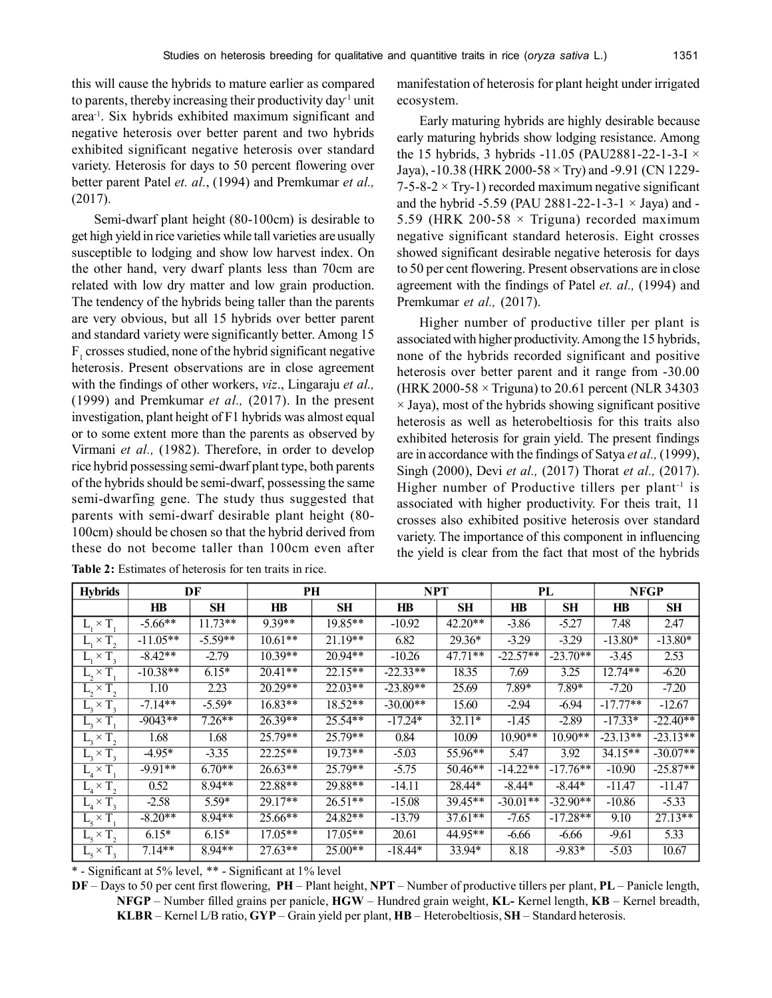this will cause the hybrids to mature earlier as compared to parents, thereby increasing their productivity day<sup>1</sup> unit area-1. Six hybrids exhibited maximum significant and negative heterosis over better parent and two hybrids exhibited significant negative heterosis over standard variety. Heterosis for days to 50 percent flowering over better parent Patel *et. al.*, (1994) and Premkumar *et al.,* (2017).

Semi-dwarf plant height (80-100cm) is desirable to get high yield in rice varieties while tall varieties are usually susceptible to lodging and show low harvest index. On the other hand, very dwarf plants less than 70cm are related with low dry matter and low grain production. The tendency of the hybrids being taller than the parents are very obvious, but all 15 hybrids over better parent and standard variety were significantly better. Among 15  $F_1$  crosses studied, none of the hybrid significant negative heterosis. Present observations are in close agreement with the findings of other workers, *viz*., Lingaraju *et al.,* (1999) and Premkumar *et al.,* (2017). In the present investigation, plant height of F1 hybrids was almost equal or to some extent more than the parents as observed by Virmani *et al.,* (1982). Therefore, in order to develop rice hybrid possessing semi-dwarf plant type, both parents of the hybrids should be semi-dwarf, possessing the same semi-dwarfing gene. The study thus suggested that parents with semi-dwarf desirable plant height (80- 100cm) should be chosen so that the hybrid derived from these do not become taller than 100cm even after

manifestation of heterosis for plant height under irrigated ecosystem.

Early maturing hybrids are highly desirable because early maturing hybrids show lodging resistance. Among the 15 hybrids, 3 hybrids -11.05 (PAU2881-22-1-3-I  $\times$ Jaya), -10.38 (HRK 2000-58 × Try) and -9.91 (CN 1229- 7-5-8-2  $\times$  Try-1) recorded maximum negative significant and the hybrid -5.59 (PAU 2881-22-1-3-1  $\times$  Jaya) and -5.59 (HRK 200-58  $\times$  Triguna) recorded maximum negative significant standard heterosis. Eight crosses showed significant desirable negative heterosis for days to 50 per cent flowering. Present observations are in close agreement with the findings of Patel *et. al.,* (1994) and Premkumar *et al.,* (2017).

Higher number of productive tiller per plant is associated with higher productivity. Among the 15 hybrids, none of the hybrids recorded significant and positive heterosis over better parent and it range from -30.00 (HRK 2000-58  $\times$  Triguna) to 20.61 percent (NLR 34303)  $\times$  Jaya), most of the hybrids showing significant positive heterosis as well as heterobeltiosis for this traits also exhibited heterosis for grain yield. The present findings are in accordance with the findings of Satya *et al.,* (1999), Singh (2000), Devi *et al.,* (2017) Thorat *et al.,* (2017). Higher number of Productive tillers per plant<sup>-1</sup> is associated with higher productivity. For theis trait, 11 crosses also exhibited positive heterosis over standard variety. The importance of this component in influencing the yield is clear from the fact that most of the hybrids

| <b>Hybrids</b>                |            | DF        |           | PH        | <b>NPT</b> |           |            | PL         | <b>NFGP</b> |            |
|-------------------------------|------------|-----------|-----------|-----------|------------|-----------|------------|------------|-------------|------------|
|                               | HR         | <b>SH</b> | $H\!B$    | <b>SH</b> | HB         | <b>SH</b> | HB         | <b>SH</b>  | HB          | <b>SH</b>  |
| $L_{1} \times T$ .            | $-5.66**$  | $11.73**$ | 9.39**    | $19.85**$ | $-10.92$   | $42.20**$ | $-3.86$    | $-5.27$    | 7.48        | 2.47       |
| $L_1 \times T_2$              | $-11.05**$ | $-5.59**$ | $10.61**$ | $21.19**$ | 6.82       | $29.36*$  | $-3.29$    | $-3.29$    | $-13.80*$   | $-13.80*$  |
| $L_1 \times T_3$              | $-8.42**$  | $-2.79$   | $10.39**$ | 20.94**   | $-10.26$   | $47.71**$ | $-22.57**$ | $-23.70**$ | $-3.45$     | 2.53       |
| $L, \times T$ ,               | $-10.38**$ | $6.15*$   | $20.41**$ | $22.15**$ | $-22.33**$ | 18.35     | 7.69       | 3.25       | $12.74**$   | $-6.20$    |
| $L, \times T,$                | 1.10       | 2.23      | $20.29**$ | $22.03**$ | $-23.89**$ | 25.69     | 7.89*      | 7.89*      | $-7.20$     | $-7.20$    |
| $L, \times T,$                | $-7.14**$  | $-5.59*$  | $16.83**$ | $18.52**$ | $-30.00**$ | 15.60     | $-2.94$    | $-6.94$    | $-17.77**$  | $-12.67$   |
| $L_1 \times T$ .              | $-9043**$  | $7.26**$  | 26.39**   | $25.54**$ | $-17.24*$  | $32.11*$  | $-1.45$    | $-2.89$    | $-17.33*$   | $-22.40**$ |
| $L_{1} \times T_{2}$          | 1.68       | 1.68      | $25.79**$ | 25.79**   | 0.84       | 10.09     | $10.90**$  | $10.90**$  | $-23.13**$  | $-23.13**$ |
| $L_{2} \times T_{2}$          | $-4.95*$   | $-3.35$   | $22.25**$ | $19.73**$ | $-5.03$    | 55.96**   | 5.47       | 3.92       | $34.15**$   | $-30.07**$ |
| $L \times T$ .                | $-9.91**$  | $6.70**$  | $26.63**$ | $25.79**$ | $-5.75$    | $50.46**$ | $-14.22**$ | $-17.76**$ | -10.90      | $-25.87**$ |
| $L_{A} \times T_{2}$          | 0.52       | $8.94**$  | 22.88**   | 29.88**   | $-14.11$   | 28.44*    | $-8.44*$   | $-8.44*$   | $-11.47$    | $-11.47$   |
| $L_{4} \times T_{3}$          | $-2.58$    | 5.59*     | 29.17**   | $26.51**$ | $-15.08$   | 39.45**   | $-30.01**$ | $-32.90**$ | $-10.86$    | $-5.33$    |
| $L_{5} \times \overline{T}$ . | $-8.20**$  | $8.94**$  | $25.66**$ | 24.82**   | $-13.79$   | $37.61**$ | $-7.65$    | $-17.28**$ | 9.10        | $27.13**$  |
| $L_{\rm s} \times T_{\rm g}$  | $6.15*$    | $6.15*$   | $17.05**$ | $17.05**$ | 20.61      | 44.95**   | $-6.66$    | $-6.66$    | $-9.61$     | 5.33       |
| $L5 \times T3$                | $7.14**$   | 8.94**    | $27.63**$ | $25.00**$ | $-18.44*$  | 33.94*    | 8.18       | $-9.83*$   | $-5.03$     | 10.67      |

**Table 2:** Estimates of heterosis for ten traits in rice.

\* - Significant at 5% level, \*\* - Significant at 1% level

**DF** – Days to 50 per cent first flowering, **PH** – Plant height, **NPT** – Number of productive tillers per plant, **PL** – Panicle length, **NFGP** – Number filled grains per panicle, **HGW** – Hundred grain weight, **KL-** Kernel length, **KB** – Kernel breadth, **KLBR** – Kernel L/B ratio, **GYP** – Grain yield per plant, **HB** – Heterobeltiosis, **SH** – Standard heterosis.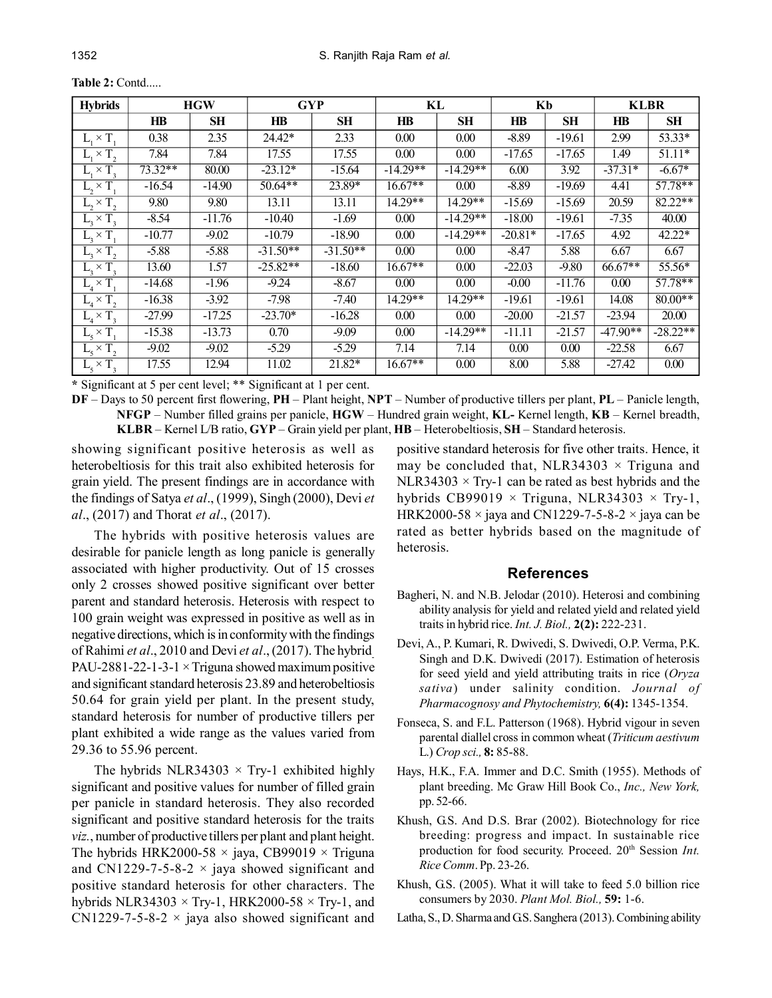| <b>Hybrids</b>       |           | <b>HGW</b> | <b>GYP</b>             |            | KL                |            | Kb        |           | <b>KLBR</b> |                   |
|----------------------|-----------|------------|------------------------|------------|-------------------|------------|-----------|-----------|-------------|-------------------|
|                      | $H\!B$    | SН         | $\mathbf{H}\mathbf{B}$ | <b>SH</b>  | $H\!B$            | <b>SH</b>  | $H\!B$    | <b>SH</b> | HB          | SН                |
| $L, \times T$        | 0.38      | 2.35       | 24.42*                 | 2.33       | 0.00              | 0.00       | $-8.89$   | $-19.61$  | 2.99        | 53.33*            |
| $L_1 \times T$ ,     | 7.84      | 7.84       | 17.55                  | 17.55      | 0.00              | 0.00       | $-17.65$  | $-17.65$  | 1.49        | $51.11*$          |
| $L_1 \times T_3$     | $73.32**$ | 80.00      | $-23.12*$              | $-15.64$   | $-14.29**$        | $-14.29**$ | 6.00      | 3.92      | $-37.31*$   | $-6.67*$          |
| $L, \times T$ .      | $-16.54$  | $-14.90$   | $50.64**$              | 23.89*     | $16.67**$         | 0.00       | $-8.89$   | $-19.69$  | 4.41        | 57.78**           |
| $L, \times T,$       | 9.80      | 9.80       | 13.11                  | 13.11      | $14.29**$         | $14.29**$  | $-15.69$  | $-15.69$  | 20.59       | 82.22**           |
| $L_{1} \times T_{2}$ | $-8.54$   | $-11.76$   | $-10.40$               | $-1.69$    | 0.00              | $-14.29**$ | $-18.00$  | $-19.61$  | $-7.35$     | 40.00             |
| $L_{2} \times T$ .   | $-10.77$  | $-9.02$    | $-10.79$               | $-18.90$   | 0.00              | $-14.29**$ | $-20.81*$ | $-17.65$  | 4.92        | 42.22*            |
| $L_3 \times T_2$     | $-5.88$   | $-5.88$    | $-31.50**$             | $-31.50**$ | 0.00              | 0.00       | $-8.47$   | 5.88      | 6.67        | 6.67              |
| $L_{2} \times T_{2}$ | 13.60     | 1.57       | $-25.82**$             | $-18.60$   | $16.67**$         | 0.00       | $-22.03$  | $-9.80$   | $66.67**$   | 55.56*            |
| $L \times T$ .       | $-14.68$  | $-1.96$    | $-9.24$                | $-8.67$    | 0.00              | 0.00       | $-0.00$   | $-11.76$  | 0.00        | $57.78**$         |
| $L_4 \times T$ ,     | $-16.38$  | $-3.92$    | $-7.98$                | $-7.40$    | 14.29**           | $14.29**$  | $-19.61$  | $-19.61$  | 14.08       | $80.00**$         |
| $L_{4} \times T_{3}$ | $-27.99$  | $-17.25$   | $-23.70*$              | $-16.28$   | 0.00              | 0.00       | $-20.00$  | $-21.57$  | $-23.94$    | 20.00             |
| $L_5 \times T_1$     | $-15.38$  | $-13.73$   | 0.70                   | $-9.09$    | $\overline{0.00}$ | $-14.29**$ | $-11.11$  | $-21.57$  | $-47.90**$  | $-28.22**$        |
| $L_{5} \times T_{2}$ | $-9.02$   | $-9.02$    | $-5.29$                | $-5.29$    | 7.14              | 7.14       | 0.00      | 0.00      | $-22.58$    | 6.67              |
| $L5 \times T3$       | 17.55     | 12.94      | 11.02                  | $21.82*$   | $16.67**$         | 0.00       | 8.00      | 5.88      | $-27.42$    | $\overline{0.00}$ |

**Table 2:** Contd.....

**\*** Significant at 5 per cent level; \*\* Significant at 1 per cent.

**DF** – Days to 50 percent first flowering, **PH** – Plant height, **NPT** – Number of productive tillers per plant, **PL** – Panicle length, **NFGP** – Number filled grains per panicle, **HGW** – Hundred grain weight, **KL-** Kernel length, **KB** – Kernel breadth, **KLBR** – Kernel L/B ratio, **GYP** – Grain yield per plant, **HB** – Heterobeltiosis, **SH** – Standard heterosis.

showing significant positive heterosis as well as heterobeltiosis for this trait also exhibited heterosis for grain yield. The present findings are in accordance with the findings of Satya *et al*., (1999), Singh (2000), Devi *et al*., (2017) and Thorat *et al*., (2017).

The hybrids with positive heterosis values are desirable for panicle length as long panicle is generally associated with higher productivity. Out of 15 crosses only 2 crosses showed positive significant over better parent and standard heterosis. Heterosis with respect to 100 grain weight was expressed in positive as well as in negative directions, which is in conformity with the findings of Rahimi *et al*., 2010 and Devi *et al*., (2017). The hybrid-PAU-2881-22-1-3-1  $\times$  Triguna showed maximum positive and significant standard heterosis 23.89 and heterobeltiosis 50.64 for grain yield per plant. In the present study, standard heterosis for number of productive tillers per plant exhibited a wide range as the values varied from 29.36 to 55.96 percent.

The hybrids NLR34303  $\times$  Try-1 exhibited highly significant and positive values for number of filled grain per panicle in standard heterosis. They also recorded significant and positive standard heterosis for the traits *viz.*, number of productive tillers per plant and plant height. The hybrids HRK2000-58  $\times$  jaya, CB99019  $\times$  Triguna and CN1229-7-5-8-2  $\times$  jaya showed significant and positive standard heterosis for other characters. The hybrids NLR34303  $\times$  Try-1, HRK2000-58  $\times$  Try-1, and CN1229-7-5-8-2  $\times$  jaya also showed significant and

positive standard heterosis for five other traits. Hence, it may be concluded that, NLR34303  $\times$  Triguna and NLR34303  $\times$  Try-1 can be rated as best hybrids and the hybrids CB99019  $\times$  Triguna, NLR34303  $\times$  Try-1, HRK2000-58  $\times$  jaya and CN1229-7-5-8-2  $\times$  jaya can be rated as better hybrids based on the magnitude of heterosis.

#### **References**

- Bagheri, N. and N.B. Jelodar (2010). Heterosi and combining ability analysis for yield and related yield and related yield traits in hybrid rice. *Int. J. Biol.,* **2(2):** 222-231.
- Devi, A., P. Kumari, R. Dwivedi, S. Dwivedi, O.P. Verma, P.K. Singh and D.K. Dwivedi (2017). Estimation of heterosis for seed yield and yield attributing traits in rice (*Oryza sativa*) under salinity condition. *Journal of Pharmacognosy and Phytochemistry,* **6(4):** 1345-1354.
- Fonseca, S. and F.L. Patterson (1968). Hybrid vigour in seven parental diallel cross in common wheat (*Triticum aestivum* L.) *Crop sci.,* **8:** 85-88.
- Hays, H.K., F.A. Immer and D.C. Smith (1955). Methods of plant breeding. Mc Graw Hill Book Co., *Inc., New York,* pp. 52-66.
- Khush, G.S. And D.S. Brar (2002). Biotechnology for rice breeding: progress and impact. In sustainable rice production for food security. Proceed. 20<sup>th</sup> Session *Int*. *Rice Comm*. Pp. 23-26.
- Khush, G.S. (2005). What it will take to feed 5.0 billion rice consumers by 2030. *Plant Mol. Biol.,* **59:** 1-6.
- Latha, S., D. Sharma and G.S. Sanghera (2013). Combining ability